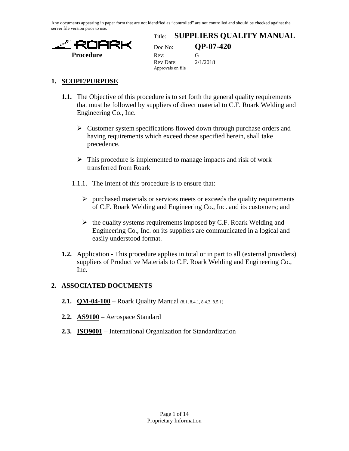Any documents appearing in paper form that are not identified as "controlled" are not controlled and should be checked against the server file version prior to use.



### Title: **SUPPLIERS QUALITY MANUAL**

Doc No: **QP-07-420** Rev Date: 2/1/2018 Approvals on file

### **1. SCOPE/PURPOSE**

- **1.1.** The Objective of this procedure is to set forth the general quality requirements that must be followed by suppliers of direct material to C.F. Roark Welding and Engineering Co., Inc.
	- $\triangleright$  Customer system specifications flowed down through purchase orders and having requirements which exceed those specified herein, shall take precedence.
	- $\triangleright$  This procedure is implemented to manage impacts and risk of work transferred from Roark
	- 1.1.1. The Intent of this procedure is to ensure that:
		- $\triangleright$  purchased materials or services meets or exceeds the quality requirements of C.F. Roark Welding and Engineering Co., Inc. and its customers; and
		- $\triangleright$  the quality systems requirements imposed by C.F. Roark Welding and Engineering Co., Inc. on its suppliers are communicated in a logical and easily understood format.
- **1.2.** Application This procedure applies in total or in part to all (external providers) suppliers of Productive Materials to C.F. Roark Welding and Engineering Co., Inc.

### **2. ASSOCIATED DOCUMENTS**

- **2.1. QM-04-100** Roark Quality Manual (8.1, 8.4.1, 8.4.3, 8.5.1)
- **2.2. AS9100** Aerospace Standard
- **2.3. ISO9001** International Organization for Standardization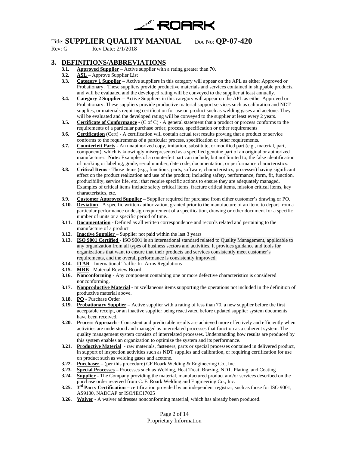

Rev Date: 2/1/2018

### **3. DEFINITIONS/ABBREVIATIONS**

- **Approved Supplier** Active supplier with a rating greater than 70.
- **3.2. ASL**  Approve Supplier List
- **3.3. Category 1 Supplier –** Active suppliers in this category will appear on the APL as either Approved or Probationary. These suppliers provide productive materials and services contained in shippable products, and will be evaluated and the developed rating will be conveyed to the supplier at least annually.
- **3.4. Category 2 Supplier –** Active Suppliers in this category will appear on the APL as either Approved or Probationary. These suppliers provide productive material support services such as calibration and NDT supplies, or materials requiring certification for use on product such as welding gases and acetone. They will be evaluated and the developed rating will be conveyed to the supplier at least every 2 years.
- **3.5. Certificate of Conformance**  $\cdot$  (C of C) A general statement that a product or process conforms to the requirements of a particular purchase order, process, specification or other requirements
- **3.6. Certification** (Cert) A certification will contain actual test results proving that a product or service conforms to the requirements of a particular process, specification or other requirements.
- **3.7. Counterfeit Parts** An unauthorized copy, imitation, substitute, or modified part (e.g., material, part, component), which is knowingly misrepresented as a specified genuine part of an original or authorized manufacturer. **Note:** Examples of a counterfeit part can include, but not limited to, the false identification of marking or labeling, grade, serial number, date code, documentation, or performance characteristics.
- **3.8. Critical Items** Those items (e.g., functions, parts, software, characteristics, processes) having significant effect on the product realization and use of the product; including safety, performance, form, fit, function, producibility, service life, etc.; that require specific actions to ensure they are adequately managed. Examples of critical items include safety critical items, fracture critical items, mission critical items, key characteristics, etc.
- **3.9. Customer Approved Supplier** Supplier required for purchase from either customer's drawing or PO.<br>**3.10. Deviation** A specific written authorization, granted prior to the manufacture of an item, to depart from
- **Deviation** A specific written authorization, granted prior to the manufacture of an item, to depart from a particular performance or design requirement of a specification, drawing or other document for a specific number of units or a specific period of time..
- **3.11. Documentation** Defined as all written correspondence and records related and pertaining to the manufacture of a product
- **3.12. Inactive Supplier**  Supplier not paid within the last 3 years
- **3.13. ISO 9001 Certified**  ISO 9001 is an international standard related to Quality Management, applicable to any organization from all types of business sectors and activities. It provides guidance and tools for organizations that want to ensure that their products and services consistently meet customer's requirements, and the overall performance is consistently improved.
- **3.14. ITAR -** International Traffic-In- Arms Regulations
- **3.15. MRB** Material Review Board
- **3.16. Nonconforming** Any component containing one or more defective characteristics is considered nonconforming.
- **3.17. Nonproductive Material** miscellaneous items supporting the operations not included in the definition of productive material above.
- **3.18. PO** Purchase Order
- **3.19. Probationary Supplier** Active supplier with a rating of less than 70, a new supplier before the first acceptable receipt, or an inactive supplier being reactivated before updated supplier system documents have been received.
- **3.20. Process Approach** Consistent and predictable results are achieved more effectively and efficiently when activities are understood and managed as interrelated processes that function as a coherent system. The quality management system consists of interrelated processes. Understanding how results are produced by this system enables an organization to optimize the system and its performance.
- **3.21. Productive Material** raw materials, fasteners, parts or special processes contained in delivered product, in support of inspection activities such as NDT supplies and calibration, or requiring certification for use on product such as welding gases and acetone.
- **3.22. Purchaser** (per this procedure) CF Roark Welding & Engineering Co., Inc.
- **3.23. Special Processes** Processes such as Welding, Heat Treat, Brazing, NDT, Plating, and Coating
- **3.24. Supplier** The Company providing the material, manufactured product and/or services described on the purchase order received from C. F. Roark Welding and Engineering Co., Inc.
- **3.25. 3rd Party Certification** certification provided by an independent registrar, such as those for ISO 9001, AS9100, NADCAP or ISO/IEC17025
- **3.26. Waiver** A waiver addresses nonconforming material, which has already been produced.

Page 2 of 14 Proprietary Information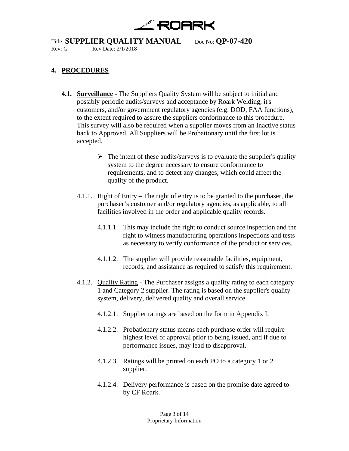

### **4. PROCEDURES**

- **4.1. Surveillance** The Suppliers Quality System will be subject to initial and possibly periodic audits/surveys and acceptance by Roark Welding, it's customers, and/or government regulatory agencies (e.g. DOD, FAA functions), to the extent required to assure the suppliers conformance to this procedure. This survey will also be required when a supplier moves from an Inactive status back to Approved. All Suppliers will be Probationary until the first lot is accepted.
	- $\triangleright$  The intent of these audits/surveys is to evaluate the supplier's quality system to the degree necessary to ensure conformance to requirements, and to detect any changes, which could affect the quality of the product.
	- 4.1.1. Right of Entry The right of entry is to be granted to the purchaser, the purchaser's customer and/or regulatory agencies, as applicable, to all facilities involved in the order and applicable quality records.
		- 4.1.1.1. This may include the right to conduct source inspection and the right to witness manufacturing operations inspections and tests as necessary to verify conformance of the product or services.
		- 4.1.1.2. The supplier will provide reasonable facilities, equipment, records, and assistance as required to satisfy this requirement.
	- 4.1.2. Quality Rating The Purchaser assigns a quality rating to each category 1 and Category 2 supplier. The rating is based on the supplier's quality system, delivery, delivered quality and overall service.
		- 4.1.2.1. Supplier ratings are based on the form in Appendix I.
		- 4.1.2.2. Probationary status means each purchase order will require highest level of approval prior to being issued, and if due to performance issues, may lead to disapproval.
		- 4.1.2.3. Ratings will be printed on each PO to a category 1 or 2 supplier.
		- 4.1.2.4. Delivery performance is based on the promise date agreed to by CF Roark.

Page 3 of 14 Proprietary Information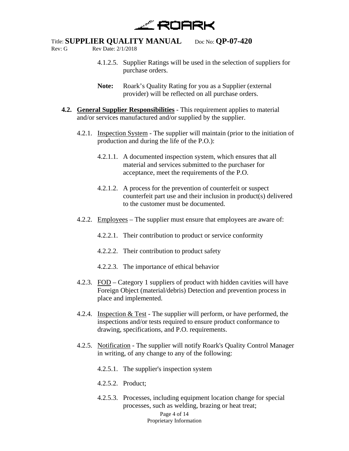

Rev: Date: 2/1/2018

- 4.1.2.5. Supplier Ratings will be used in the selection of suppliers for purchase orders.
- **Note:** Roark's Quality Rating for you as a Supplier (external provider) will be reflected on all purchase orders.
- **4.2. General Supplier Responsibilities** This requirement applies to material and/or services manufactured and/or supplied by the supplier.
	- 4.2.1. Inspection System The supplier will maintain (prior to the initiation of production and during the life of the P.O.):
		- 4.2.1.1. A documented inspection system, which ensures that all material and services submitted to the purchaser for acceptance, meet the requirements of the P.O.
		- 4.2.1.2. A process for the prevention of counterfeit or suspect counterfeit part use and their inclusion in product(s) delivered to the customer must be documented.
	- 4.2.2. Employees The supplier must ensure that employees are aware of:
		- 4.2.2.1. Their contribution to product or service conformity
		- 4.2.2.2. Their contribution to product safety
		- 4.2.2.3. The importance of ethical behavior
	- 4.2.3. FOD Category 1 suppliers of product with hidden cavities will have Foreign Object (material/debris) Detection and prevention process in place and implemented.
	- 4.2.4. Inspection & Test The supplier will perform, or have performed, the inspections and/or tests required to ensure product conformance to drawing, specifications, and P.O. requirements.
	- 4.2.5. Notification The supplier will notify Roark's Quality Control Manager in writing, of any change to any of the following:
		- 4.2.5.1. The supplier's inspection system
		- 4.2.5.2. Product;
		- 4.2.5.3. Processes, including equipment location change for special processes, such as welding, brazing or heat treat;

Page 4 of 14 Proprietary Information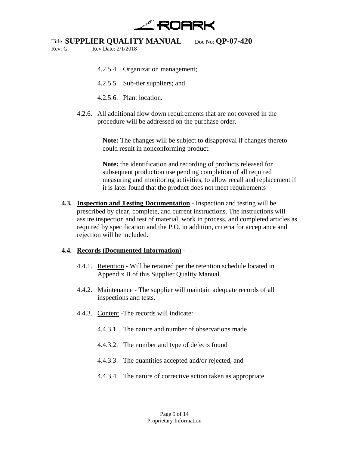

Rev: Date: 2/1/2018

- 4.2.5.4. Organization management;
- 4.2.5.5. Sub-tier suppliers; and
- 4.2.5.6. Plant location.
- 4.2.6. All additional flow down requirements that are not covered in the procedure will be addressed on the purchase order.

**Note:** The changes will be subject to disapproval if changes thereto could result in nonconforming product.

**Note:** the identification and recording of products released for subsequent production use pending completion of all required measuring and monitoring activities, to allow recall and replacement if it is later found that the product does not meet requirements

**4.3. Inspection and Testing Documentation** - Inspection and testing will be prescribed by clear, complete, and current instructions. The instructions will assure inspection and test of material, work in process, and completed articles as required by specification and the P.O. in addition, criteria for acceptance and rejection will be included.

### **4.4. Records (Documented Information)** -

- 4.4.1. Retention Will be retained per the retention schedule located in Appendix II of this Supplier Quality Manual.
- 4.4.2. Maintenance The supplier will maintain adequate records of all inspections and tests.
- 4.4.3. Content -The records will indicate:
	- 4.4.3.1. The nature and number of observations made
	- 4.4.3.2. The number and type of defects found
	- 4.4.3.3. The quantities accepted and/or rejected, and
	- 4.4.3.4. The nature of corrective action taken as appropriate.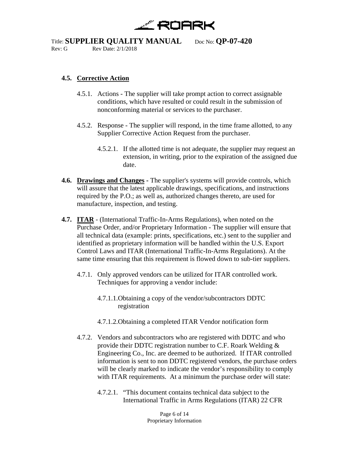

Rev: Date: 2/1/2018

### **4.5. Corrective Action**

- 4.5.1. Actions The supplier will take prompt action to correct assignable conditions, which have resulted or could result in the submission of nonconforming material or services to the purchaser.
- 4.5.2. Response The supplier will respond, in the time frame allotted, to any Supplier Corrective Action Request from the purchaser.
	- 4.5.2.1. If the allotted time is not adequate, the supplier may request an extension, in writing, prior to the expiration of the assigned due date.
- **4.6. Drawings and Changes -** The supplier's systems will provide controls, which will assure that the latest applicable drawings, specifications, and instructions required by the P.O.; as well as, authorized changes thereto, are used for manufacture, inspection, and testing.
- **4.7. ITAR** (International Traffic-In-Arms Regulations), when noted on the Purchase Order, and/or Proprietary Information - The supplier will ensure that all technical data (example: prints, specifications, etc.) sent to the supplier and identified as proprietary information will be handled within the U.S. Export Control Laws and ITAR (International Traffic-In-Arms Regulations). At the same time ensuring that this requirement is flowed down to sub-tier suppliers.
	- 4.7.1. Only approved vendors can be utilized for ITAR controlled work. Techniques for approving a vendor include:
		- 4.7.1.1.Obtaining a copy of the vendor/subcontractors DDTC registration
		- 4.7.1.2.Obtaining a completed ITAR Vendor notification form
	- 4.7.2. Vendors and subcontractors who are registered with DDTC and who provide their DDTC registration number to C.F. Roark Welding & Engineering Co., Inc. are deemed to be authorized. If ITAR controlled information is sent to non DDTC registered vendors, the purchase orders will be clearly marked to indicate the vendor's responsibility to comply with ITAR requirements. At a minimum the purchase order will state:
		- 4.7.2.1. "This document contains technical data subject to the International Traffic in Arms Regulations (ITAR) 22 CFR

Page 6 of 14 Proprietary Information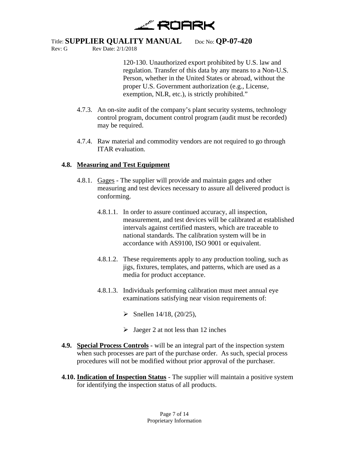

120‐130. Unauthorized export prohibited by U.S. law and regulation. Transfer of this data by any means to a Non-U.S. Person, whether in the United States or abroad, without the proper U.S. Government authorization (e.g., License, exemption, NLR, etc.), is strictly prohibited."

- 4.7.3. An on-site audit of the company's plant security systems, technology control program, document control program (audit must be recorded) may be required.
- 4.7.4. Raw material and commodity vendors are not required to go through ITAR evaluation.

### **4.8. Measuring and Test Equipment**

Rev: Date: 2/1/2018

- 4.8.1. Gages The supplier will provide and maintain gages and other measuring and test devices necessary to assure all delivered product is conforming.
	- 4.8.1.1. In order to assure continued accuracy, all inspection, measurement, and test devices will be calibrated at established intervals against certified masters, which are traceable to national standards. The calibration system will be in accordance with AS9100, ISO 9001 or equivalent.
	- 4.8.1.2. These requirements apply to any production tooling, such as jigs, fixtures, templates, and patterns, which are used as a media for product acceptance.
	- 4.8.1.3. Individuals performing calibration must meet annual eye examinations satisfying near vision requirements of:
		- $\triangleright$  Snellen 14/18, (20/25),
		- $\triangleright$  Jaeger 2 at not less than 12 inches
- **4.9. Special Process Controls -** will be an integral part of the inspection system when such processes are part of the purchase order. As such, special process procedures will not be modified without prior approval of the purchaser.
- **4.10. Indication of Inspection Status** The supplier will maintain a positive system for identifying the inspection status of all products.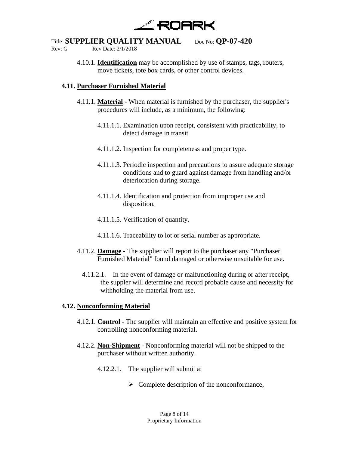

Rev: Date: 2/1/2018

4.10.1. **Identification** may be accomplished by use of stamps, tags, routers, move tickets, tote box cards, or other control devices.

### **4.11. Purchaser Furnished Material**

- 4.11.1. **Material** When material is furnished by the purchaser, the supplier's procedures will include, as a minimum, the following:
	- 4.11.1.1. Examination upon receipt, consistent with practicability, to detect damage in transit.
	- 4.11.1.2. Inspection for completeness and proper type.
	- 4.11.1.3. Periodic inspection and precautions to assure adequate storage conditions and to guard against damage from handling and/or deterioration during storage.
	- 4.11.1.4. Identification and protection from improper use and disposition.
	- 4.11.1.5. Verification of quantity.
	- 4.11.1.6. Traceability to lot or serial number as appropriate.
- 4.11.2. **Damage** The supplier will report to the purchaser any "Purchaser Furnished Material" found damaged or otherwise unsuitable for use.
	- 4.11.2.1. In the event of damage or malfunctioning during or after receipt, the suppler will determine and record probable cause and necessity for withholding the material from use.

### **4.12. Nonconforming Material**

- 4.12.1. **Control** The supplier will maintain an effective and positive system for controlling nonconforming material.
- 4.12.2. **Non-Shipment** Nonconforming material will not be shipped to the purchaser without written authority.
	- 4.12.2.1. The supplier will submit a:
		- $\triangleright$  Complete description of the nonconformance,

Page 8 of 14 Proprietary Information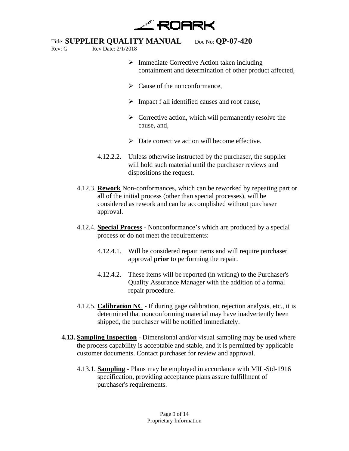

Rev: Date: 2/1/2018

- 
- $\triangleright$  Immediate Corrective Action taken including containment and determination of other product affected,
- $\triangleright$  Cause of the nonconformance,
- $\triangleright$  Impact f all identified causes and root cause,
- $\triangleright$  Corrective action, which will permanently resolve the cause, and,
- $\triangleright$  Date corrective action will become effective.
- 4.12.2.2. Unless otherwise instructed by the purchaser, the supplier will hold such material until the purchaser reviews and dispositions the request.
- 4.12.3. **Rework** Non-conformances, which can be reworked by repeating part or all of the initial process (other than special processes), will be considered as rework and can be accomplished without purchaser approval.
- 4.12.4. **Special Process** Nonconformance's which are produced by a special process or do not meet the requirements:
	- 4.12.4.1. Will be considered repair items and will require purchaser approval **prior** to performing the repair.
	- 4.12.4.2. These items will be reported (in writing) to the Purchaser's Quality Assurance Manager with the addition of a formal repair procedure.
- 4.12.5. **Calibration NC** If during gage calibration, rejection analysis, etc., it is determined that nonconforming material may have inadvertently been shipped, the purchaser will be notified immediately.
- **4.13. Sampling Inspection** Dimensional and/or visual sampling may be used where the process capability is acceptable and stable, and it is permitted by applicable customer documents. Contact purchaser for review and approval.
	- 4.13.1. **Sampling** Plans may be employed in accordance with MIL-Std-1916 specification, providing acceptance plans assure fulfillment of purchaser's requirements.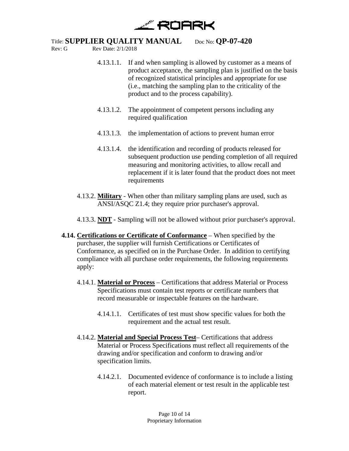

Rev: Date: 2/1/2018

- 4.13.1.1. If and when sampling is allowed by customer as a means of product acceptance, the sampling plan is justified on the basis of recognized statistical principles and appropriate for use (i.e., matching the sampling plan to the criticality of the product and to the process capability).
- 4.13.1.2. The appointment of competent persons including any required qualification
- 4.13.1.3. the implementation of actions to prevent human error
- 4.13.1.4. the identification and recording of products released for subsequent production use pending completion of all required measuring and monitoring activities, to allow recall and replacement if it is later found that the product does not meet requirements
- 4.13.2. **Military** When other than military sampling plans are used, such as ANSI/ASQC Z1.4; they require prior purchaser's approval.
- 4.13.3. **NDT** Sampling will not be allowed without prior purchaser's approval.
- **4.14. Certifications or Certificate of Conformance** When specified by the purchaser, the supplier will furnish Certifications or Certificates of Conformance, as specified on in the Purchase Order. In addition to certifying compliance with all purchase order requirements, the following requirements apply:
	- 4.14.1. **Material or Process** Certifications that address Material or Process Specifications must contain test reports or certificate numbers that record measurable or inspectable features on the hardware.
		- 4.14.1.1. Certificates of test must show specific values for both the requirement and the actual test result.
	- 4.14.2. **Material and Special Process Test** Certifications that address Material or Process Specifications must reflect all requirements of the drawing and/or specification and conform to drawing and/or specification limits.
		- 4.14.2.1. Documented evidence of conformance is to include a listing of each material element or test result in the applicable test report.

Page 10 of 14 Proprietary Information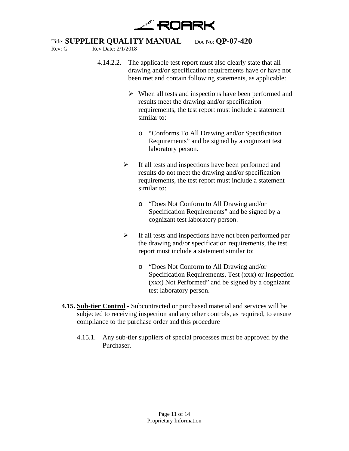

Rev: Date: 2/1/2018

- 4.14.2.2. The applicable test report must also clearly state that all drawing and/or specification requirements have or have not been met and contain following statements, as applicable:
	- $\triangleright$  When all tests and inspections have been performed and results meet the drawing and/or specification requirements, the test report must include a statement similar to:
		- o "Conforms To All Drawing and/or Specification Requirements" and be signed by a cognizant test laboratory person.
	- $\triangleright$  If all tests and inspections have been performed and results do not meet the drawing and/or specification requirements, the test report must include a statement similar to:
		- o "Does Not Conform to All Drawing and/or Specification Requirements" and be signed by a cognizant test laboratory person.
	- $\triangleright$  If all tests and inspections have not been performed per the drawing and/or specification requirements, the test report must include a statement similar to:
		- o "Does Not Conform to All Drawing and/or Specification Requirements, Test (xxx) or Inspection (xxx) Not Performed" and be signed by a cognizant test laboratory person.
- **4.15. Sub-tier Control** Subcontracted or purchased material and services will be subjected to receiving inspection and any other controls, as required, to ensure compliance to the purchase order and this procedure
	- 4.15.1. Any sub-tier suppliers of special processes must be approved by the Purchaser.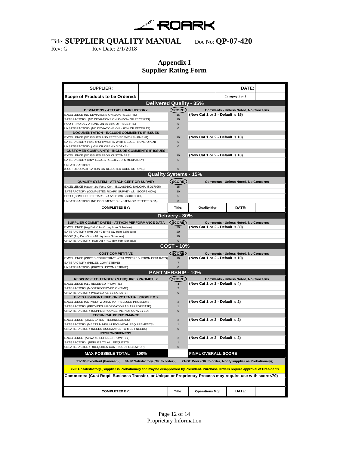

Rev: G Rev Date: 2/1/2018

### **Appendix I Supplier Rating Form**

| <b>SUPPLIER:</b>                                                                                                                  |                                |                                                             | DATE:                                       |  |  |  |
|-----------------------------------------------------------------------------------------------------------------------------------|--------------------------------|-------------------------------------------------------------|---------------------------------------------|--|--|--|
| Scope of Products to be Ordered:                                                                                                  |                                |                                                             | Category 1 or 2                             |  |  |  |
|                                                                                                                                   | <b>Delivered Quality - 35%</b> |                                                             |                                             |  |  |  |
| DEVIATIONS - ATTTACH DMR HISTORY                                                                                                  | (SCORE)                        |                                                             | <b>Comments - Unless Noted, No Concerns</b> |  |  |  |
| EXCELLENCE (NO DEVIATIONS ON 100% RECEIPTS)                                                                                       | 15                             | (New Cat 1 or 2 - Default is 15)                            |                                             |  |  |  |
| SATISFACTORY (NO DEVIATIONS ON 95-100% OF RECEIPTS)                                                                               | 10                             |                                                             |                                             |  |  |  |
| POOR (NO DEVIATIONS ON 85-94% OF RECEIPTS)                                                                                        | 5                              |                                                             |                                             |  |  |  |
| UNSATISFACTORY (NO DEVIATIONS ON < 85% OF RECEIPTS)                                                                               | $\Omega$                       |                                                             |                                             |  |  |  |
| <b>DOCUMENTATION - INCLUDE COMMENTS IF ISSUES</b><br>EXCELLENCE (NO ISSUES AND RECEIVED WITH SHIPMENT)                            | 10                             |                                                             |                                             |  |  |  |
| SATISFACTORY (<5% of SHIPMENTS WITH ISSUES - NONE OPEN)                                                                           | 5                              | (New Cat 1 or 2 - Default is 10)                            |                                             |  |  |  |
| UNSATISFACTORY (>5% OR OPEN > 3 DAYS)                                                                                             | $\mathbf{0}$                   |                                                             |                                             |  |  |  |
| <b>CUSTOMER COMPLAINTS - INCLUDE COMMENTS IF ISSUES</b>                                                                           |                                |                                                             |                                             |  |  |  |
| EXCELLENCE (NO ISSUES FROM CUSTOMERS)                                                                                             | 10                             | (New Cat 1 or 2 - Default is 10)                            |                                             |  |  |  |
| SATISFACTORY (ANY ISSUES RESOLVED IMMEDIATELY)                                                                                    | 5                              |                                                             |                                             |  |  |  |
| <b>UNSATISFACTORY</b>                                                                                                             |                                |                                                             |                                             |  |  |  |
| (CUST DISQUALIFICATION OR REJECTED CORR ACTIONS)                                                                                  |                                |                                                             |                                             |  |  |  |
|                                                                                                                                   | <b>Quality Systems - 15%</b>   |                                                             |                                             |  |  |  |
| QUALITY SYSTEM - ATTACH CERT OR SURVEY                                                                                            | (score)                        | <b>Comments - Unless Noted, No Concerns</b>                 |                                             |  |  |  |
| EXCELLENCE (Attach 3rd Party Cert - ISO, AS9100, NADCAP, ISO17025)                                                                | 15                             |                                                             |                                             |  |  |  |
| SATISFACTORY (COMPLETED ROARK SURVEY with SCORE>80%)                                                                              | 10                             |                                                             |                                             |  |  |  |
| POOR (COMPLETED ROARK SURVEY with SCORE<80%)                                                                                      | 5                              |                                                             |                                             |  |  |  |
| UNSATISFACTORY (NO DOCUMENTED SYSTEM OR REJECTED CA)                                                                              | $\mathbf{0}$                   |                                                             |                                             |  |  |  |
| <b>COMPLETED BY:</b>                                                                                                              | Title:                         | <b>Quality Mgr</b>                                          | DATE:                                       |  |  |  |
|                                                                                                                                   | Delivery - 30%                 |                                                             |                                             |  |  |  |
| SUPPLIER COMMIT DATES - ATTACH PERFORMANCE DATA                                                                                   | (SCORE)                        |                                                             | <b>Comments - Unless Noted, No Concerns</b> |  |  |  |
| EXCELLENCE (Avg Del -5 to +1 day from Schedule)                                                                                   | 30                             | (New Cat 1 or 2 - Default is 30)                            |                                             |  |  |  |
| SATISFACTORY (Avg Del +2 to +4 day from Schedule)                                                                                 | 20                             |                                                             |                                             |  |  |  |
| POOR (Avg Del +5 to +10 day from Schedule)                                                                                        | 10                             |                                                             |                                             |  |  |  |
| UNSATISFACTORY (Avg Del > +10 day from Schedule)                                                                                  |                                |                                                             |                                             |  |  |  |
|                                                                                                                                   | <b>COST - 10%</b>              |                                                             |                                             |  |  |  |
| <b>COST COMPETITIVE</b>                                                                                                           | <b>SCORE</b>                   |                                                             | <b>Comments - Unless Noted, No Concerns</b> |  |  |  |
| EXCELLENCE (PRICES COMPETITIVE WITH COST REDUCTION INITIATIVES)                                                                   | 10                             | (New Cat 1 or 2 - Default is 10)                            |                                             |  |  |  |
| SATISFACTORY (PRICES COMPETITIVE)                                                                                                 | $\overline{7}$                 |                                                             |                                             |  |  |  |
| UNSATISFACTORY (PRICES UNCOMPETITIVE)                                                                                             |                                |                                                             |                                             |  |  |  |
|                                                                                                                                   | <b>PARTNERSHIP - 10%</b>       |                                                             |                                             |  |  |  |
| <b>RESPONSE TO TENDERS &amp; ENQUIRES PROMPTLY</b>                                                                                | (SCORE)                        |                                                             | <b>Comments - Unless Noted, No Concerns</b> |  |  |  |
| EXCELLENCE (ALL RECEIVED PROMPTLY)                                                                                                | $\overline{4}$                 | (New Cat 1 or 2 - Default is 4)                             |                                             |  |  |  |
| SATISFACTORY (MOST RECEIOVED ON TIME)<br>UNSATISFACTORY (VIEWED AS BEING LATE)                                                    | $\overline{2}$<br>$\mathbf 0$  |                                                             |                                             |  |  |  |
| GIVES UP-FRONT INFO ON POTENTIAL PROBLEMS                                                                                         |                                |                                                             |                                             |  |  |  |
| EXCELLENCE (ACTIVELY WORKS TO PRECLUDE PROBLEMS)                                                                                  | $\overline{2}$                 | (New Cat 1 or 2 - Default is 2)                             |                                             |  |  |  |
| SATISFACTORY (PROVIDES INFORMATION AS APPROPRIATE)                                                                                | $\mathbf{1}$                   |                                                             |                                             |  |  |  |
| UNSATISFACTORY (SUPPLIER CONCERNS NOT CONVEYED)                                                                                   | $\mathbf{0}$                   |                                                             |                                             |  |  |  |
| <b>TECHNICAL PERFORMANCE</b>                                                                                                      |                                |                                                             |                                             |  |  |  |
| EXCELLENCE (USES LATEST TECHNOLOGIES)                                                                                             | $\overline{2}$                 | (New Cat 1 or 2 - Default is 2)                             |                                             |  |  |  |
| SATISFACTORY (MEETS MINIMUM TECHNICAL REQUIREMENTS)                                                                               |                                |                                                             |                                             |  |  |  |
| UNSATISFACTORY (NEEDS ASSISTANCE TO MEET NEEDS)                                                                                   | $\Omega$                       |                                                             |                                             |  |  |  |
| <b>RESPONSIVENESS</b><br>EXCELLENCE (ALWAYS REPLIES PROMPTLY)                                                                     | $\overline{2}$                 |                                                             |                                             |  |  |  |
| SATISFACTORY (REPLIES TO ALL REQUESTS                                                                                             | $\mathbf{1}$                   | (New Cat 1 or 2 - Default is 2)                             |                                             |  |  |  |
| UNSATISFACTORY (REQUIRES CONTINUED FOLLOW UP)                                                                                     | 0                              |                                                             |                                             |  |  |  |
| <b>MAX POSSIBLE TOTAL</b><br>100%                                                                                                 |                                | <b>FINAL OVERALL SCORE</b>                                  |                                             |  |  |  |
| 81-90:Satisfactory (OK to order);                                                                                                 |                                |                                                             |                                             |  |  |  |
| 91-100:Excellent (Favored);                                                                                                       |                                | 71-80: Poor (OK to order, Notify supplier as Probationary); |                                             |  |  |  |
| <70: Unsatisfactory (Supplier is Probationary and may be disapproved by President. Purchase Orders require approval of President) |                                |                                                             |                                             |  |  |  |
| (Comments: (Cust Reqd, Business Transfer, or Unique or Proprietary Process may require use with score<70                          |                                |                                                             |                                             |  |  |  |
| <b>COMPLETED BY:</b>                                                                                                              | Title:                         | <b>Operations Mgr</b>                                       | DATE:                                       |  |  |  |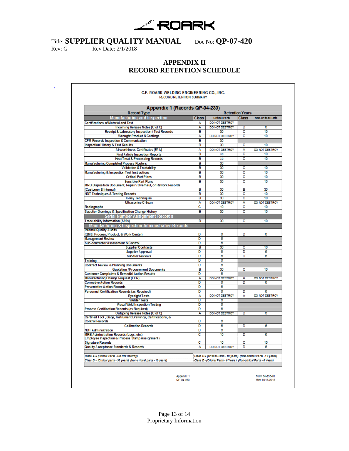

r

Rev: G Rev Date: 2/1/2018

### **APPENDIX II RECORD RETENTION SCHEDULE**

| Appendix 1 (Records QP-04-230)                                                                    |                        |                         |                       |                    |  |
|---------------------------------------------------------------------------------------------------|------------------------|-------------------------|-----------------------|--------------------|--|
| <b>Record Type</b>                                                                                | <b>Retention Years</b> |                         |                       |                    |  |
| <b>Manufacturing and Inspection</b>                                                               | <b>Class</b>           | <b>Critical Parts</b>   | <b>Class</b>          | Non-Critical Parts |  |
| <b>Certifications of Material and Test</b>                                                        | А                      | DO NOT DESTROY          |                       |                    |  |
| Incoming Release Notes (C of C)                                                                   | A                      | DO NOT DESTROY          | D                     | 6                  |  |
| Receipt & Laboratory Inspection / Test Records                                                    | B                      | 30                      | c                     | 10                 |  |
| <b>Wrought Product &amp; Castings</b>                                                             | A                      | DO NOT DESTROY          | c                     | 10                 |  |
| CFM Records Inspection & Communication                                                            | в                      | 30                      |                       |                    |  |
| <b>Inspection History &amp; Test Results</b>                                                      | в                      | 30                      | с                     | 10                 |  |
| Airworthiness Certificates (FAA)                                                                  | А                      | DO NOT DESTROY          | A                     | DO NOT DESTROY     |  |
| <b>First A rticle Inspection Reports</b>                                                          | B                      | 30                      | c                     | 10                 |  |
| <b>Heat Treat &amp; Processing Records</b>                                                        | B                      | 30                      | c                     | 10                 |  |
| Manufacturing Completed Process Routers.                                                          | B                      | 30                      |                       |                    |  |
| <b>Validation &amp; Tractability</b>                                                              | в                      | 30                      | Ċ                     | 10                 |  |
|                                                                                                   | R                      | 30                      |                       | 10                 |  |
| <b>Manufacturing &amp; Inspection Test Instructions</b>                                           |                        | 30                      | c<br>c                |                    |  |
| <b>Critical Part Plans</b>                                                                        | в                      |                         |                       | 10                 |  |
| <b>Sensitive Part Plans</b><br>MRB Disposition Document, Repair / Overhaul, or Rework Records     | в                      | 30                      | c                     | 10                 |  |
| (Customer & Internal)                                                                             | в                      | 30                      | в                     | 30                 |  |
| <b>NDT Techniques &amp; Testing Records</b>                                                       | в                      | 30                      | c                     | 10                 |  |
| <b>X-Ray Techniques</b>                                                                           | в                      | 30                      | ō                     | $\overline{10}$    |  |
| <b>Ultrasonice C-Scan</b>                                                                         | А                      | <b>DO NOT DESTROY</b>   | A                     | DO NOT DESTROY     |  |
| Radiographs                                                                                       | c                      | 10                      | $\overline{\text{c}}$ | 10                 |  |
| <b>Supplier Drawings &amp; Specification Change History</b>                                       | R                      | 30                      | c                     | 10                 |  |
|                                                                                                   |                        |                         |                       |                    |  |
| <b>Serial Number Assignment Records</b>                                                           |                        |                         |                       |                    |  |
| Trace ability Information (S/N's)                                                                 | в                      | 30                      | c                     | 10                 |  |
| Manufacturing & Inspection Administrative Records                                                 |                        |                         |                       |                    |  |
| Internal Quality Audits                                                                           |                        |                         |                       |                    |  |
| (QMS, Process, Product, & Work Center)                                                            | D                      | 8                       | D                     | 6                  |  |
| <b>Management Review</b>                                                                          | D                      | 8                       |                       |                    |  |
| Sub-contractor Assessment & Control                                                               | ъ                      | $\overline{\mathbf{a}}$ |                       |                    |  |
| <b>Supplier Contracts</b>                                                                         | в                      | 30                      | c                     | 10                 |  |
| <b>Supplier Approval</b>                                                                          | Б                      | $\overline{\bf e}$      | n<br>n                | ō                  |  |
| <b>Sub-tier Reviews</b>                                                                           | ъ                      | $\overline{\bf e}$      |                       | $\overline{\bf e}$ |  |
| Training                                                                                          | D                      | B                       |                       |                    |  |
| <b>Contract Review &amp; Planning Documents</b>                                                   | Đ                      | B                       |                       |                    |  |
| Quotation / Procurement Documents                                                                 | в                      | 30                      | с                     | 10                 |  |
| <b>Customer Complaints &amp; Remedial Action Results</b>                                          | Đ                      | $\overline{\mathbf{6}}$ |                       |                    |  |
| Manufacturing Change Request (ECR)                                                                | A                      | DO NOT DESTROY          | A                     | DO NOT DESTROY     |  |
| <b>Corrective Action Records</b>                                                                  | Б                      | ō                       | ъ                     | 6                  |  |
| <b>Preventative Action Records</b>                                                                | Б                      | $\overline{\bf e}$      |                       |                    |  |
| Personnel Certification Records (as Required)                                                     | Ď                      | R                       | n                     | R                  |  |
| <b>Eyesight Tests</b>                                                                             | А                      | DO NOT DESTROY          | А                     | DO NOT DESTROY     |  |
| <b>Welder Tests</b>                                                                               | ъ                      | $\overline{\mathbf{6}}$ |                       |                    |  |
| <b>Visual Weld Inspection Testing</b>                                                             | Б                      | $\overline{\mathbf{6}}$ |                       |                    |  |
| Process Certification Records (as Required)                                                       | Đ                      | R                       |                       |                    |  |
| Outgoing Release Notes (C of C)                                                                   | А                      | DO NOT DESTROY          | n                     | 6                  |  |
| Certified Tool , Gage, Instrument Drawings, Certifications, &<br>Control Records                  | D                      | 6                       |                       |                    |  |
| <b>Calibration Records</b>                                                                        | D                      | 8                       | n                     | R                  |  |
|                                                                                                   |                        | 8                       |                       |                    |  |
| <b>NDT Administration</b>                                                                         | D                      | 10                      |                       |                    |  |
| <b>MRB Adminstration Records (Logs, etc.)</b><br>Employee Inspection & Process Stamp Assignment / | c                      |                         | D                     | 8                  |  |
| <b>Signature Records</b>                                                                          | с                      | 10                      | c                     | 10                 |  |
| <b>Quality Acceptance Standards &amp; Records</b>                                                 | А                      | DO NOT DESTROY          | Đ                     | ē                  |  |

Appendix 1<br>QP-04-230

Form 04-230-01<br>Rev 10/13/2015